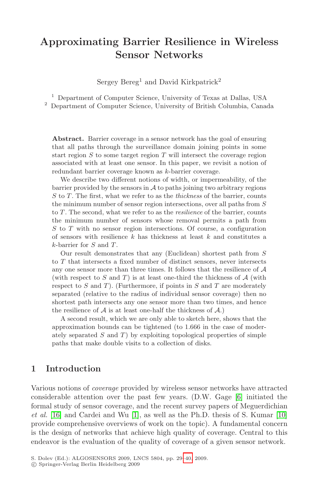# **Approximating Barrier Resilience in Wireless Sensor Networks**

Sergey Bereg<sup>1</sup> and David Kirkpatrick<sup>2</sup>

<sup>1</sup> Department of Computer Science, University of Texas at Dallas, USA

<sup>2</sup> Department of Computer Science, University of British Columbia, Canada

**Abstract.** Barrier coverage in a sensor network has the goal of ensuring that all paths through the surveillance domain joining points in some start region  $S$  to some target region  $T$  will intersect the coverage region associated with at least one sensor. In this paper, we revisit a notion of redundant barrier coverage known as k-barrier coverage.

We describe two different notions of width, or impermeability, of the barrier provided by the sensors in  $A$  to paths joining two arbitrary regions S to T. The first, what we refer to as the *thickness* of the barrier, counts the minimum number of sensor region intersections, over all paths from S to T. The second, what we refer to as the *resilience* of the barrier, counts the minimum number of sensors whose removal permits a path from  $S$  to  $T$  with no sensor region intersections. Of course, a configuration of sensors with resilience  $k$  has thickness at least  $k$  and constitutes a k-barrier for S and T.

Our result demonstrates that any (Euclidean) shortest path from S to  $T$  that intersects a fixed number of distinct sensors, never intersects any one sensor more than three times. It follows that the resilience of *A* (with respect to  $S$  and  $T$ ) is at least one-third the thickness of  $A$  (with respect to  $S$  and  $T$ ). (Furthermore, if points in  $S$  and  $T$  are moderately separated (relative to the radius of individual sensor coverage) then no shortest path intersects any one sensor more than two times, and hence the resilience of *A* is at least one-half the thickness of *A*.)

A second result, which we are only able to sketch here, shows that the approximation bounds can be tightened [\(to](#page-11-0) 1.666 in the case of moderately separated  $S$  and  $T$ ) by exploiting topological properties of simple paths [th](#page-11-1)at make double visits to a collection of disks.

### **1 Introduction**

Various notions of *coverage* [prov](#page-11-2)ided by wireless sensor networks have attracted considerable attention over the past few years. (D.W. Gage [6] initiated the formal study of sensor coverage, and the recent survey papers of Meguerdichian *et al.* [16] and Cardei and Wu [1], as well as the Ph.D. thesis of S. Kumar [10] provide comprehensive overviews of work on the topic). A fundamental concern is the design of networks that achieve high quality of coverage. Central to this endeavor is the evaluation of the quality of coverage of a given sensor network.

S. Dolev (Ed.): ALGOSENSORS 2009, LNCS 5804, pp. 29–40, 2009.

<sup>-</sup>c Springer-Verlag Berlin Heidelberg 2009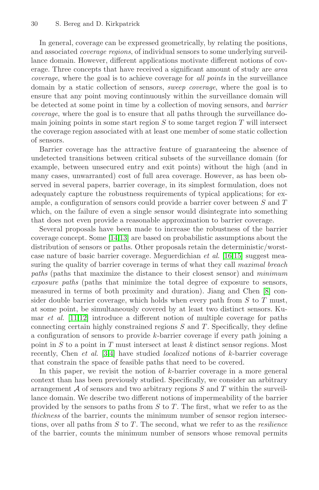In general, coverage can be expressed geometrically, by relating the positions, and associated *coverage regions*, of individual sensors to some underlying surveillance domain. However, different applications motivate different notions of coverage. Three concepts that have received a significant amount of study are *area coverage*, where the goal is to achieve coverage for *all points* in the surveillance domain by a static collection of sensors, *sweep coverage*, where the goal is to ensure that any point moving continuously within the surveillance domain will be detected at some point in time by a collection of moving sensors, and *barrier coverage*, where the goal is to ensure that all paths through the surveillance domain joining points in some start region  $S$  to some target region  $T$  will intersect the coverage region associated with at least one member of some static collection of sensors.

Barrier coverage has the attractive feature of guaranteeing the absence of undetected transitions between critical subsets of the surveillance domain (for exam[ple](#page-11-3)[, be](#page-11-4)tween unsecured entry and exit points) without the high (and in many cases, unwarranted) cost of full area coverage. However, as has been observed in several papers, barrier coverag[e, i](#page-11-5)[n it](#page-11-6)s simplest formulation, does not adequately capture the robustness requirements of typical applications; for example, a configuration of sensors could provide a barrier cover between S and T which, on the failure of even a single sensor would disintegrate into something that does not even provide a reasonable approximati[on](#page-11-7) to barrier coverage.

Several proposals have been made to increase the robustness of the barrier coverage concept. Some [14,13] are based on probabilistic assumptions about the distribution of sensors or paths. Other proposals retain the deterministic/worstcase nature of basic barrier coverage. Meguerdichian *et al.* [16,15] suggest measuring the quality of barrier coverage in terms of what they call *maximal breach paths* (paths that maximize the distance to their closest sensor) and *minimum exp[os](#page-11-8)[ur](#page-11-9)e paths* (paths that minimize the total degree of exposure to sensors, measured in terms of both proximity and duration). Jiang and Chen [8] consider double barrier coverage, which holds when every path from  $S$  to  $T$  must, at some point, be simultaneously covered by at least two distinct sensors. Kumar *et al.* [11,12] introduce a different notion of multiple coverage for paths connecting certain highly constrained regions  $S$  and  $T$ . Specifically, they define a configuration of sensors to provide  $k$ -barrier coverage if every path joining a point in  $S$  to a point in  $T$  must intersect at least  $k$  distinct sensor regions. Most recently, Chen *et al.* [3,4] have studied *localized* notions of k-barrier coverage that constrain the space of feasible paths that need to be covered.

In this paper, we revisit the notion of  $k$ -barrier coverage in a more general context than has been previously studied. Specifically, we consider an arbitrary arrangement  $A$  of sensors and two arbitrary regions  $S$  and  $T$  within the surveillance domain. We describe two different notions of impermeability of the barrier provided by the sensors to paths from  $S$  to  $T$ . The first, what we refer to as the *thickness* of the barrier, counts the minimum number of sensor region intersections, over all paths from S to T. The second, what we refer to as the *resilience* of the barrier, counts the minimum number of sensors whose removal permits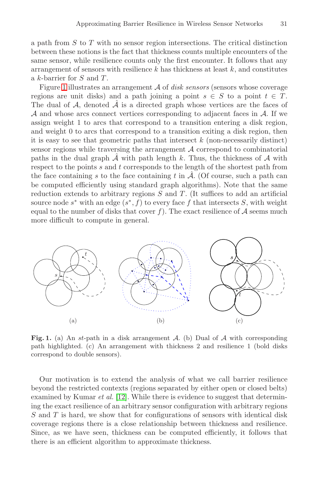a path from  $S$  to  $T$  with no sensor region intersections. The critical distinction between these notions is the fact that thickness counts multiple encounters of the same sensor, while resilience counts only the first encounter. It follows that any arrangement of sensors with resilience  $k$  has thickness at least  $k$ , and constitutes a  $k$ -barrier for  $S$  and  $T$ .

Figure 1 illustrates an arrangement A of *disk sensors* (sensors whose coverage regions are unit disks) and a path joining a point  $s \in S$  to a point  $t \in T$ . The dual of A, denoted  $\hat{\mathcal{A}}$  is a directed graph whose vertices are the faces of A and whose arcs connect vertices corresponding to adjacent faces in A. If we assign weight 1 to arcs that correspond to a transition entering a disk region, and weight 0 to arcs that correspond to a transition exiting a disk region, then it is easy to see that geometric paths that intersect  $k$  (non-necessarily distinct) sensor regions while traversing the arrangement A correspond to combinatorial paths in the dual graph  $\hat{\mathcal{A}}$  with path length k. Thus, the thickness of  $\mathcal{A}$  with respect to the points s and t corresponds to the length of the shortest path from the face containing s to the face containing t in  $\hat{A}$ . (Of course, such a path can be computed efficiently using standard graph algorithms). Note that the same reduction extends to arbitrary regions  $S$  and  $T$ . (It suffices to add an artificial source node  $s^*$  with an edge  $(s^*, f)$  to every face f that intersects S, with weight equal to the number of disks that cover  $f$ ). The exact resilience of  $A$  seems much more difficult to compute in general.



**Fig. 1.** (a) An st-path in a disk arrangement *<sup>A</sup>*. (b) Dual of *<sup>A</sup>* with corresponding path highlighted. (c) An arrangement with thickness 2 and resilience 1 (bold disks correspond to double sensors).

Our motivation is to extend the analysis of what we call barrier resilience beyond the restricted contexts (regions separated by either open or closed belts) examined by Kumar *et al.* [12]. While there is evidence to suggest that determining the exact resilience of an arbitrary sensor configuration with arbitrary regions  $S$  and  $T$  is hard, we show that for configurations of sensors with identical disk coverage regions there is a close relationship between thickness and resilience. Since, as we have seen, thickness can be computed efficiently, it follows that there is an efficient algorithm to approximate thickness.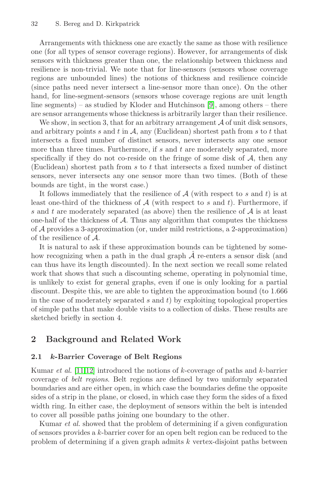Arrangements with thickness one [ar](#page-11-10)e exactly the same as those with resilience one (for all types of sensor coverage regions). However, for arrangements of disk sensors with thickness greater than one, the relationship between thickness and resilience is non-trivial. We note that for line-sensors (sensors whose coverage regions are unbounded lines) the notions of thickness and resilience coincide (since paths need never intersect a line-sensor more than once). On the other hand, for line-segment-sensors (sensors whose coverage regions are unit length line segments) – as studied by Kloder and Hutchinson [9], among others – there are sensor arrangements whose thickness is arbitrarily larger than their resilience.

We show, in section 3, that for an arbitrary arrangement  $A$  of unit disk sensors, and arbitrary points s and t in  $\mathcal{A}$ , any (Euclidean) shortest path from s to t that intersects a fixed number of distinct sensors, never intersects any one sensor more than three times. Furthermore, if  $s$  and  $t$  are moderately separated, more specifically if they do not co-reside on the fringe of some disk of  $A$ , then any (Euclidean) shortest path from s to t that intersects a fixed number of distinct sensors, never intersects any one sensor more than two times. (Both of these bounds are tight, in the worst case.)

It follows immediately that the resilience of  $A$  (with respect to s and t) is at least one-third of the thickness of  $A$  (with respect to s and t). Furthermore, if s and t are moderately separated (as above) then the resilience of  $A$  is at least one-half of the thickness of  $A$ . Thus any algorithm that computes the thickness of A provides a 3-approximation (or, under mild restrictions, a 2-approximation) of the resilience of A.

It is natural to ask if these approximation bounds can be tightened by somehow recognizing when a path in the dual graph  $\hat{\mathcal{A}}$  re-enters a sensor disk (and can thus have its length discounted). In the next section we recall some related work that shows that such a discounting scheme, operating in polynomial time, is unlikely to exist for general graphs, even if one is only looking for a partial discount. Despite this, we are able to tighten the approximation bound (to 1.666 [i](#page-11-11)n the case of moderately separated  $s$  and  $t$ ) by exploiting topological properties of simple paths that make double visits to a collection of disks. These results are sketched briefly in section 4.

### **2 Background and Related Work**

#### **2.1** *k***-Barrier Coverage of Belt Regions**

Kumar *et al.* [11,12] introduced the notions of k-coverage of paths and k-barrier coverage of *belt regions*. Belt regions are defined by two uniformly separated boundaries and are either open, in which case the boundaries define the opposite sides of a strip in the plane, or closed, in which case they form the sides of a fixed width ring. In either case, the deployment of sensors within the belt is intended to cover all possible paths joining one boundary to the other.

Kumar *et al.* showed that the problem of determining if a given configuration of sensors provides a k-barrier cover for an open belt region can be reduced to the problem of determining if a given graph admits k vertex-disjoint paths between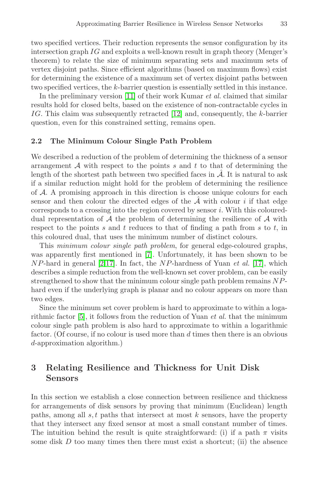two specified vertices. T[heir](#page-11-11) reduction represents the sensor configuration by its intersection graph IG and exploits a well-known result in graph theory (Menger's theorem) to relate the size of minimum separating sets and maximum sets of vertex disjoint paths. Since efficient algorithms (based on maximum flows) exist for determining the existence of a maximum set of vertex disjoint paths between two specified vertices, the k-barrier question is essentially settled in this instance.

In the preliminary version [11] of their work Kumar *et al.* claimed that similar results hold for closed belts, based on the existence of non-contractable cycles in IG. This claim was subsequently retracted [12] and, consequently, the k-barrier question, even for this constrained setting, remains open.

#### **2.2 The Minimum Colour Single Path Problem**

We described a reduction of the problem of determining the thickness of a sensor arrangement  $A$  with respect to the points  $s$  and  $t$  to that of determining the length of the shortest path between two specified faces in  $\tilde{A}$ . It is natural to ask if a similar redu[cti](#page-11-12)on might hold for the problem of determining the resilience of [A](#page-11-13)[. A](#page-11-14) promising approach in this direction is c[hoo](#page-11-14)se unique colours for each sensor and then colour the directed edges of the  $\hat{\mathcal{A}}$  with colour i if that edge corresponds to a crossing into the region covered by sensor  $i$ . With this coloureddual representation of  $A$  the problem of determining the resilience of  $A$  with respect to the points s and t reduces to that of finding a path from s to t, in this coloured dual, that uses the minimum number of distinct colours.

This *minimum colour single path problem*, for general edge-coloured graphs, was apparently first mentioned in [7]. Unfortunately, it has been shown to be NP-hard in general [2,17]. In fact, the NP-hardness of Yuan *et al.* [17], which describes a simple reduction from the well-known set cover problem, can be easily strengthened to show that the minimum colour single path problem remains  $NP$ hard even if the underlying graph is planar and no colour appears on more than two edges.

Since the minimum set cover problem is hard to approximate to within a logarithmic factor [5], it follows from the reduction of Yuan *et al.* that the minimum colour single path problem is also hard to approximate to within a logarithmic factor. (Of course, if no colour is used more than d times then there is an obvious d-approximation algorithm.)

### **3 Relating Resilience and Thickness for Unit Disk Sensors**

In this section we establish a close connection between resilience and thickness for arrangements of disk sensors by proving that minimum (Euclidean) length paths, among all  $s, t$  paths that intersect at most  $k$  sensors, have the property that they intersect any fixed sensor at most a small constant number of times. The intuition behind the result is quite straightforward: (i) if a path  $\pi$  visits some disk  $D$  too many times then there must exist a shortcut; (ii) the absence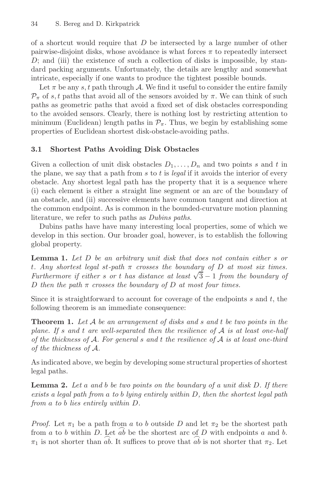of a shortcut would require that  $D$  be intersected by a large number of other pairwise-disjoint disks, whose avoidance is what forces  $\pi$  to repeatedly intersect  $D$ ; and (iii) the existence of such a collection of disks is impossible, by standard packing arguments. Unfortunately, the details are lengthy and somewhat intricate, especially if one wants to produce the tightest possible bounds.

Let  $\pi$  be any s, t path through A. We find it useful to consider the entire family  $\mathcal{P}_{\pi}$  of s, t paths that avoid all of the sensors avoided by  $\pi$ . We can think of such paths as geometric paths that avoid a fixed set of disk obstacles corresponding to the avoided sensors. Clearly, there is nothing lost by restricting attention to minimum (Euclidean) length paths in  $\mathcal{P}_{\pi}$ . Thus, we begin by establishing some properties of Euclidean shortest disk-obstacle-avoiding paths.

### **3.1 Shortest Paths Avoiding Disk Obstacles**

Given a collection of unit disk obstacles  $D_1, \ldots, D_n$  and two points s and t in the plane, we say that a path from s to t is *legal* if it avoids the interior of every obstacle. Any shortest legal path has the property that it is a sequence where (i) each element is either a straight line segment or an arc of the boundary of an obstacle, and (ii) successive elements have common tangent and direction at the common endpoint. As is common in the bounded-curvature motion planning literature, we refer to such paths as *Dubins paths*.

Dubins paths have have many interesting local properties, some of which we develop in this section. Our broader goal, however, is to establish the following global property.

**Lemma 1.** *Let* D *be an arbitrary unit disk that does not contain either* s *or* t*. Any shortest legal* st*-path* π *crosses the boundary of* D *at most six times. Furthermore if either* s *or* t *has distance at least*  $\sqrt{3} - 1$  *from the boundary of* D *then the path* π *crosses the boundary of* D *at most four times.*

Since it is straightforward to account for coverage of the endpoints s and  $t$ , the following theorem is an immediate consequence:

**Theorem 1.** *Let* A *be an arrangement of disks and* s *and* t *be two points in the plane. If* s *and* t *are well-separated then the resilience of* A *is at least one-half of the thickness of* A*. For general* s *and* t *the resilience of* A *is at least one-third of the thickness of* A*.*

<span id="page-5-0"></span>As indicated above, we begin by developing some structural properties of shortest legal paths.

**Lemma 2.** *Let* a *and* b *be two points on the boundary of a unit disk* D*. If there exists a legal path from* a *to* b *lying entirely within* D*, then the shortest legal path from* a *to* b *lies entirely within* D*.*

*Proof.* Let  $\pi_1$  be a path from a to b outside D and let  $\pi_2$  be the shortest path From a to b within D. Let  $\widehat{ab}$  be the shortest arc of D with endpoints a and b.  $π<sub>1</sub>$  is not shorter than *ab*. It suffices to prove that *ab* is not shorter that  $π<sub>2</sub>$ . Let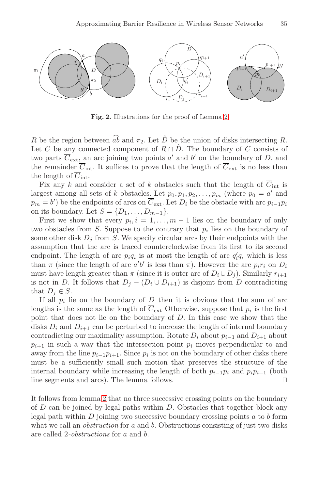

**Fig. 2.** Illustrations for the proof of Lemma 2

R be the region between  $\widehat{ab}$  and  $\pi_2$ . Let  $\widehat{D}$  be the union of disks intersecting R. Let C be any connected component of  $R \cap \hat{D}$ . The boundary of C consists of two parts  $\overline{C}_{ext}$ , an arc joining two points a' and b' on the boundary of D. and the remainder  $\overline{C}_{\text{int}}$ . It suffices to prove that the length of  $\overline{C}_{\text{ext}}$  is no less than the length of  $\overline{C}_{\text{int}}$ .

Fix any k and consider a set of k obstacles such that the length of  $\overline{C}_{int}$  is largest among all sets of k obstacles. Let  $p_0, p_1, p_2, \ldots, p_m$  (where  $p_0 = a'$  and  $p_m = b'$ ) be the endpoints of arcs on  $\overline{C}_{ext}$ . Let  $D_i$  be the obstacle with arc  $p_{i-1}p_i$ on its boundary. Let  $S = \{D_1, \ldots, D_{m-1}\}.$ 

First we show that every  $p_i, i = 1, \ldots, m-1$  lies on the boundary of only two obstacles from S. Suppose to the contrary that  $p_i$  lies on the boundary of some other disk  $D_i$  from S. We specify circular arcs by their endpoints with the assumption that the arc is traced counterclockwise from its first to its second endpoint. The length of arc  $p_i q_i$  is at most the length of arc  $q_i' q_i$  which is less than  $\pi$  (since the length of arc a'b' is less than  $\pi$ ). However the arc  $p_i r_i$  on  $D_i$ must have length greater than  $\pi$  (since it is outer arc of  $D_i \cup D_j$ ). Similarly  $r_{i+1}$ is not in D. It follows that  $D_j - (D_i \cup D_{i+1})$  is disjoint from D contradicting that  $D_i \in S$ .

If all  $p_i$  lie on the boundary of D then it is obvious that the sum of arc lengths is the same as the length of  $\overline{C}_{ext}$  Otherwise, suppose that  $p_i$  is the first point that does not lie on the boundary of D. In this case we show that the dis[ks](#page-5-0)  $D_i$  and  $D_{i+1}$  can be perturbed to increase the length of internal boundary contradicting our maximality assumption. Rotate  $D_i$  about  $p_{i-1}$  and  $D_{i+1}$  about  $p_{i+1}$  in such a way that the intersection point  $p_i$  moves perpendicular to and away from the line  $p_{i-1}p_{i+1}$ . Since  $p_i$  is not on the boundary of other disks there must be a sufficiently small such motion that preserves the structure of the internal boundary while increasing the length of both  $p_{i-1}p_i$  and  $p_i p_{i+1}$  (both line segments and arcs). The lemma follows. line segments and arcs). The lemma follows.

<span id="page-6-0"></span>It follows from lemma 2 that no three successive crossing points on the boundary of  $D$  can be joined by legal paths within  $D$ . Obstacles that together block any legal path within  $D$  joining two successive boundary crossing points  $a$  to  $b$  form what we call an *obstruction* for a and b. Obstructions consisting of just two disks are called 2*-obstructions* for a and b.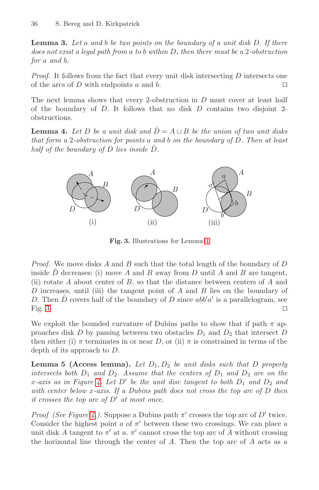**Lemma 3.** *Let* a *and* b *be two points on the boundary of a unit disk* D*. If there does not exist a legal path from* a *to* b *within* D*, then there must be a* 2*-obstruction for* a *and* b*.*

*Proof.* It follows from the fact that every unit disk intersecting D intersects one of the arcs of  $D$  with endpoints  $a$  and  $b$ .

The next lemma shows that every 2-obstruction in D must cover at least half of the boundary of  $D$ . It follows that no disk  $D$  contains two disjoint 2obstructions.

**Lemma 4.** Let D be a unit disk and  $\hat{D} = A \cup B$  be the union of two unit disks *that form a* 2*-obstruction for points* a *and* b *on the boundary of* D*. Then at least half of the boundary of*  $D$  *lies inside*  $\hat{D}$ *.* 

<span id="page-7-0"></span>

**Fig. 3.** Illustrations for Lemma 4

<span id="page-7-1"></span>*Proof.* We move disks A and B such that the total length of the boundary of D inside  $\ddot{D}$  decreases: (i) move  $\ddot{A}$  and  $\ddot{B}$  away from  $\ddot{D}$  until  $\ddot{A}$  and  $\ddot{B}$  are tangent, (ii) rotate A about center of B, so that the distance between centers of A and  $D$  increases, until (iii) the tangent point of  $A$  and  $B$  lies on the boundary of D. Then  $\hat{D}$  covers half of the boundary of D since abl'a' is a parallelogram, see [Fig](#page-8-0). 3.  $\Box$ 

We exploit the bounded curvature of Dubins paths to show that if path  $\pi$  approaches disk  $D$  by passing between two obstacles  $D_1$  and  $D_2$  that intersect  $D$ then either (i)  $\pi$  terminates in or near D, or (ii)  $\pi$  is constrained in terms of the [d](#page-8-0)epth of its approach to D.

**Lemma 5 (Access lemma).** Let  $D_1, D_2$  be unit disks such that D properly *intersects both*  $D_1$  *and*  $D_2$ *. Assume that the centers of*  $D_1$  *and*  $D_2$  *are on the* x-axis as in Figure 4. Let  $D'$  be the unit disc tangent to both  $D_1$  and  $D_2$  and *with center below* x*-axis. If a Dubins path does not cross the top arc of* D *then it crosses the top arc of*  $D'$  *at most once.* 

*Proof (See Figure 4.).* Suppose a Dubins path  $\pi'$  crosses the top arc of D' twice. Consider the highest point a of  $\pi'$  between these two crossings. We can place a unit disk A tangent to  $\pi'$  at a.  $\pi'$  cannot cross the top arc of A without crossing the horizontal line through the center of  $A$ . Then the top arc of  $A$  acts as a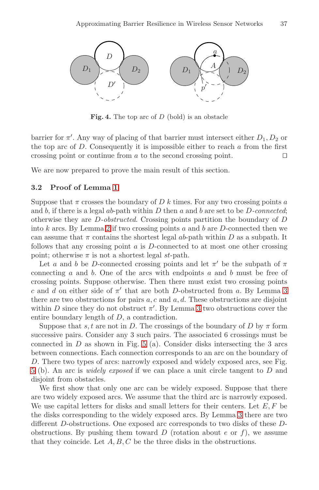<span id="page-8-0"></span>

Fig. 4. The top arc of D (bold) is an obstacle

barrier for  $\pi'$ . Any way of placing of that barrier must intersect either  $D_1, D_2$  or the top arc of  $D$ . Consequently it is impossible either to reach  $a$  from the first cros[sin](#page-5-0)g point or continue from  $a$  to the second crossing point.  $\square$ 

We are now prepared to prove the main result of this section.

#### **3.2 Proof of Lemma 1**

Suppose that  $\pi$  crosses the boundary of D k times. For any two crossing points a and b, if there is a legal ab-path within D then a and b are set to be D*-connected*; otherwise they are D*-obstructed*. Crossing points partitio[n t](#page-6-0)he boundary of D into k arcs. By Lemma 2 if two crossing points a and b are D-connected then we can assume that  $\pi$  contains the [sh](#page-7-0)ortest legal ab-path within D as a subpath. It follows that any crossing point  $\alpha$  is  $D$ -connected to at most one other crossing point; otherwise  $\pi$  is not a shortest legal st-path.

Let a and b be D-connected crossing points and let  $\pi'$  be the subpath of  $\pi$ connecting a a[nd](#page-9-0) b. One of the arcs with endpoints a and b must be free of crossing points. Suppose otherwise. Then there must exist two crossing points c and d on either side of  $\pi'$  that are both D-obstructed from a. By Lemma 3 there are two obstructions for pairs  $a, c$  and  $a, d$ . These obstructions are disjoint within D since they do not obstruct  $\pi'$ . By Lemma 3 two obstructions cover the entire boundary length of D, a contradiction.

Suppose that s, t are not in D. The crossings of the boundary of D by  $\pi$  form successive pairs. Consider any 3 such pairs. The associated 6 crossings must be connected in  $D$  as shown in Fig. 5 (a). Co[nsi](#page-6-0)der disks intersecting the 3 arcs between connections. Each connection corresponds to an arc on the boundary of D. There two types of arcs: narrowly exposed and widely exposed arcs, see Fig. 5 (b). An arc is *widely exposed* if we can place a unit circle tangent to D and disjoint from obstacles.

We first show that only one arc can be widely exposed. Suppose that there are two widely exposed arcs. We assume that the third arc is narrowly exposed. We use capital letters for disks and small letters for their centers. Let  $E, F$  be the disks corresponding to the widely exposed arcs. By Lemma 3 there are two different D-obstructions. One exposed arc corresponds to two disks of these Dobstructions. By pushing them toward  $D$  (rotation about  $e$  or  $f$ ), we assume that they coincide. Let A, B, C be the three disks in the obstructions.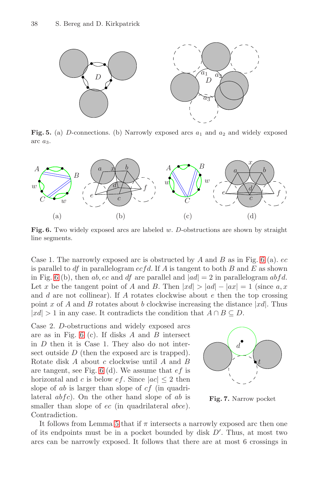<span id="page-9-0"></span>

**Fig. 5.** (a) D-connections. (b) Narrowly exposed arcs  $a_1$  and  $a_2$  and widely exposed arc  $a_3$ .

<span id="page-9-1"></span>

**Fig. 6.** Two widely exposed arcs are labeled w. D-obstructions are shown by straight line segments.

Case 1. The narrowly exposed arc is obstructed by  $A$  and  $B$  as in Fig. 6 (a).  $ec$ is parallel to  $df$  in parallelogram  $ecfd$ . If A is tangent to both B and E as shown in Fig. 6 (b), then ab, ec and df are parallel and  $|ad| = 2$  in parallelogram abfd. Let x be the tangent point of A and B. Then  $|xd| > |ad| - |ax| = 1$  (since a, x and  $d$  are not collinear). If  $A$  rotates clockwise about  $e$  then the top crossing p[oin](#page-9-1)t x of A and B rotates about b clockwise increasing the distance  $|xd|$ . Thus  $|xd| > 1$  in any case. It contradicts the condition that  $A \cap B \subseteq D$ .

Case 2. D-obstructions and widely exposed arcs are as in Fig.  $6$  (c). If disks  $A$  and  $B$  intersect in  $D$  then it is Case 1. They also do not intersect o[uts](#page-7-1)ide D (then the exposed arc is trapped). Rotate disk  $A$  about  $c$  clockwise until  $A$  and  $B$ are tangent, see Fig.  $6$  (d). We assume that  $ef$  is horizontal and c is below  $ef$ . Since  $|ac| \leq 2$  then slope of  $ab$  is larger than slope of  $cf$  (in quadrilateral  $abfc$ ). On the other hand slope of ab is smaller than slope of ec (in quadrilateral abce). Contradiction.



**Fig. 7.** Narrow pocket

It follows from Lemma 5 that if  $\pi$  intersects a narrowly exposed arc then one of its endpoints must be in a pocket bounded by disk  $D'$ . Thus, at most two arcs can be narrowly exposed. It follows that there are at most 6 crossings in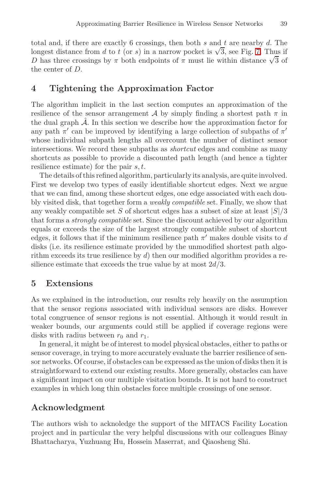total and, if there are exactly 6 crossings, then both  $s$  and  $t$  are nearby  $d$ . The longest distance from d to t (or s) in a narrow pocket is  $\sqrt{3}$ , see Fig. 7. Thus if D has three crossings by  $\pi$  both endpoints of  $\pi$  must lie within distance  $\sqrt{3}$  of the center of D.

### **4 Tightening the Approximation Factor**

The algorithm implicit in the last section computes an approximation of the resilience of the sensor arrangement A by simply finding a shortest path  $\pi$  in the dual graph  $\tilde{A}$ . In this section we describe how the approximation factor for any path  $\pi'$  can be improved by identifying a large collection of subpaths of  $\pi'$ whose individual subpath lengths all overcount the number of distinct sensor intersections. We record these subpaths as *shortcut* edges and combine as many shortcuts as possible to provide a discounted path length (and hence a tighter resilience estimate) for the pair s, t.

The details of this refined algorithm, particularly its analysis, are quite involved. First we develop two types of easily identifiable shortcut edges. Next we argue that we can find, among these shortcut edges, one edge associated with each doubly visited disk, that together form a *weakly compatible* set. Finally, we show that any weakly compatible set S of shortcut edges has a subset of size at least  $|S|/3$ that forms a *strongly compatible* set. Since the discount achieved by our algorithm equals or exceeds the size of the largest strongly compatible subset of shortcut edges, it follows that if the minimum resilience path  $\pi'$  makes double visits to d disks (i.e. its resilience estimate provided by the unmodified shortest path algorithm exceeds its true resilience by d) then our modified algorithm provides a resilience estimate that exceeds the true value by at most  $2d/3$ .

### **5 Extensions**

As we explained in the introduction, our results rely heavily on the assumption that the sensor regions associated with individual sensors are disks. However total congruence of sensor regions is not essential. Although it would result in weaker bounds, our arguments could still be applied if coverage regions were disks with radius between  $r_0$  and  $r_1$ .

In general, it might be of interest to model physical obstacles, either to paths or sensor coverage, in trying to more accurately evaluate the barrier resilience of sensor networks. Of course, if obstacles can be expressed as the union of disks then it is straightforward to extend our existing results. More generally, obstacles can have a significant impact on our multiple visitation bounds. It is not hard to construct examples in which long thin obstacles force multiple crossings of one sensor.

### **Acknowledgment**

The authors wish to acknoledge the support of the MITACS Facility Location project and in particular the very helpful discussions with our colleagues Binay Bhattacharya, Yuzhuang Hu, Hossein Maserrat, and Qiaosheng Shi.